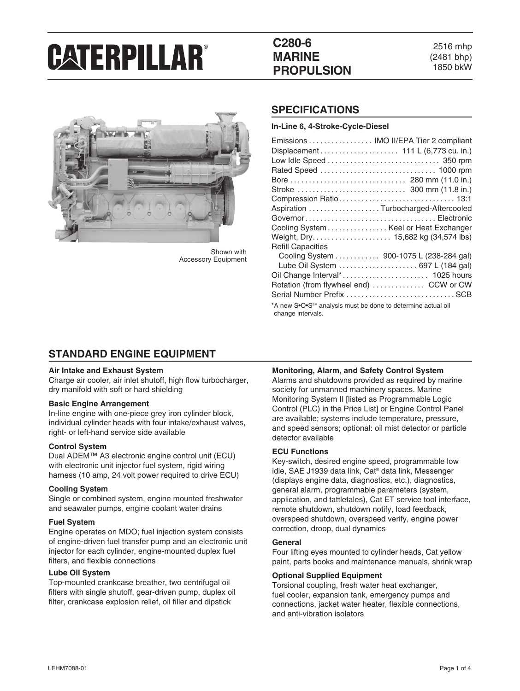## **C280-6 MARINE PROPULSION**

2516 mhp (2481 bhp) 1850 bkW



Shown with Accessory Equipment

## **SPECIFICATIONS**

**In-Line 6, 4-Stroke-Cycle-Diesel**

| Emissions  IMO II/EPA Tier 2 compliant                                                        |                                         |  |
|-----------------------------------------------------------------------------------------------|-----------------------------------------|--|
| Displacement 111 L (6,773 cu. in.)                                                            |                                         |  |
| Low Idle Speed  350 rpm                                                                       |                                         |  |
|                                                                                               |                                         |  |
|                                                                                               |                                         |  |
|                                                                                               |                                         |  |
|                                                                                               |                                         |  |
| Aspiration Turbocharged-Aftercooled                                                           |                                         |  |
|                                                                                               |                                         |  |
| Cooling System Keel or Heat Exchanger                                                         |                                         |  |
|                                                                                               |                                         |  |
| <b>Refill Capacities</b>                                                                      |                                         |  |
|                                                                                               | Cooling System 900-1075 L (238-284 gal) |  |
|                                                                                               | Lube Oil System  697 L (184 gal)        |  |
|                                                                                               |                                         |  |
| Rotation (from flywheel end)  CCW or CW                                                       |                                         |  |
|                                                                                               |                                         |  |
| *A new S•O•S <sup>SM</sup> analysis must be done to determine actual oil<br>change intervals. |                                         |  |

## **STANDARD ENGINE EQUIPMENT**

#### **Air Intake and Exhaust System**

Charge air cooler, air inlet shutoff, high flow turbocharger, dry manifold with soft or hard shielding

#### **Basic Engine Arrangement**

In-line engine with one-piece grey iron cylinder block, individual cylinder heads with four intake/exhaust valves, right- or left-hand service side available

#### **Control System**

Dual ADEM™ A3 electronic engine control unit (ECU) with electronic unit injector fuel system, rigid wiring harness (10 amp, 24 volt power required to drive ECU)

#### **Cooling System**

Single or combined system, engine mounted freshwater and seawater pumps, engine coolant water drains

#### **Fuel System**

Engine operates on MDO; fuel injection system consists of engine-driven fuel transfer pump and an electronic unit injector for each cylinder, engine-mounted duplex fuel filters, and flexible connections

#### **Lube Oil System**

Top-mounted crankcase breather, two centrifugal oil filters with single shutoff, gear-driven pump, duplex oil filter, crankcase explosion relief, oil filler and dipstick

#### **Monitoring, Alarm, and Safety Control System**

Alarms and shutdowns provided as required by marine society for unmanned machinery spaces. Marine Monitoring System II [listed as Programmable Logic Control (PLC) in the Price List] or Engine Control Panel are available; systems include temperature, pressure, and speed sensors; optional: oil mist detector or particle detector available

#### **ECU Functions**

Key-switch, desired engine speed, programmable low idle, SAE J1939 data link, Cat® data link, Messenger (displays engine data, diagnostics, etc.), diagnostics, general alarm, programmable parameters (system, application, and tattletales), Cat ET service tool interface, remote shutdown, shutdown notify, load feedback, overspeed shutdown, overspeed verify, engine power correction, droop, dual dynamics

#### **General**

Four lifting eyes mounted to cylinder heads, Cat yellow paint, parts books and maintenance manuals, shrink wrap

#### **Optional Supplied Equipment**

Torsional coupling, fresh water heat exchanger, fuel cooler, expansion tank, emergency pumps and connections, jacket water heater, flexible connections, and anti-vibration isolators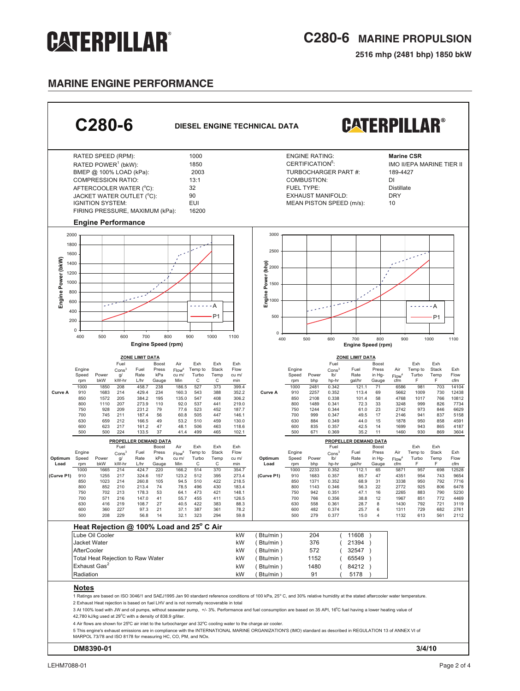## **C280-6 MARINE PROPULSION**

**2516 mhp (2481 bhp) 1850 bkW**

## **MARINE ENGINE PERFORMANCE**

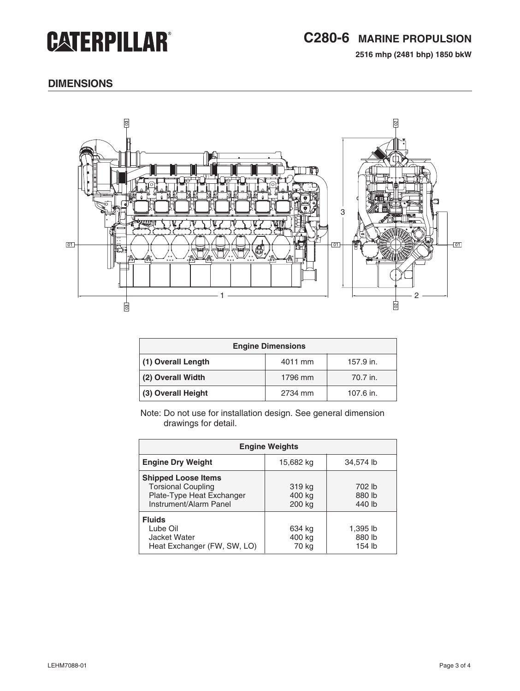## **C280-6 MARINE PROPULSION**

**2516 mhp (2481 bhp) 1850 bkW**

### **dimensions**



| <b>Engine Dimensions</b> |         |           |  |
|--------------------------|---------|-----------|--|
| (1) Overall Length       | 4011 mm | 157.9 in. |  |
| (2) Overall Width        | 1796 mm | 70.7 in.  |  |
| (3) Overall Height       | 2734 mm | 107.6 in. |  |

Note: Do not use for installation design. See general dimension drawings for detail.

| <b>Engine Weights</b>                                                                                          |                            |                              |  |
|----------------------------------------------------------------------------------------------------------------|----------------------------|------------------------------|--|
| <b>Engine Dry Weight</b>                                                                                       | 15,682 kg                  | 34,574 lb                    |  |
| <b>Shipped Loose Items</b><br><b>Torsional Coupling</b><br>Plate-Type Heat Exchanger<br>Instrument/Alarm Panel | 319 kg<br>400 kg<br>200 kg | 702 lb<br>880 lb<br>440 lb   |  |
| <b>Fluids</b><br>Lube Oil<br>Jacket Water<br>Heat Exchanger (FW, SW, LO)                                       | 634 kg<br>400 kg<br>70 kg  | 1,395 lb<br>880 lb<br>154 lb |  |